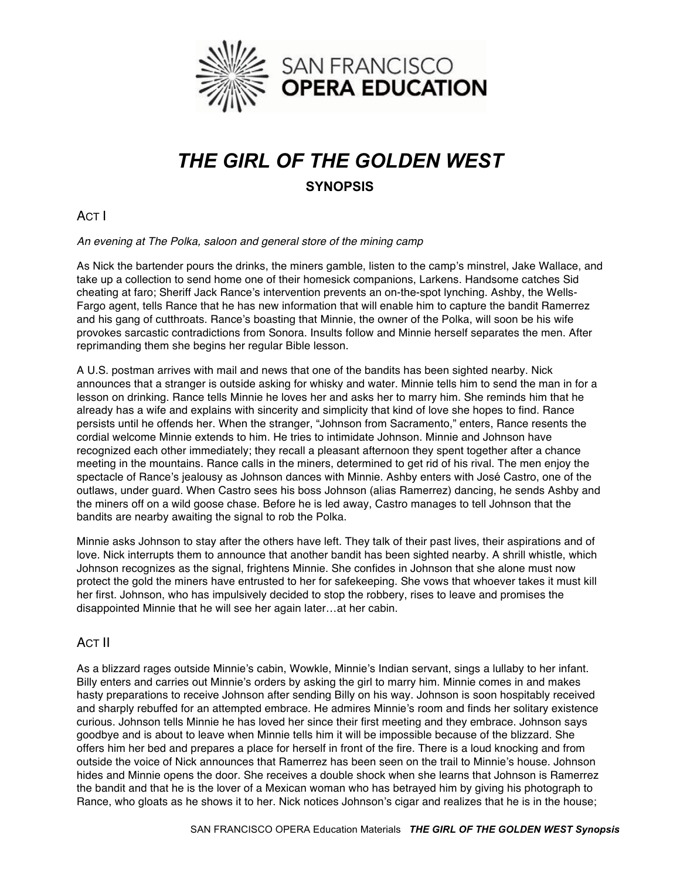

## *THE GIRL OF THE GOLDEN WEST* **SYNOPSIS**

ACT I

*An evening at The Polka, saloon and general store of the mining camp*

As Nick the bartender pours the drinks, the miners gamble, listen to the camp's minstrel, Jake Wallace, and take up a collection to send home one of their homesick companions, Larkens. Handsome catches Sid cheating at faro; Sheriff Jack Rance's intervention prevents an on-the-spot lynching. Ashby, the Wells-Fargo agent, tells Rance that he has new information that will enable him to capture the bandit Ramerrez and his gang of cutthroats. Rance's boasting that Minnie, the owner of the Polka, will soon be his wife provokes sarcastic contradictions from Sonora. Insults follow and Minnie herself separates the men. After reprimanding them she begins her regular Bible lesson.

A U.S. postman arrives with mail and news that one of the bandits has been sighted nearby. Nick announces that a stranger is outside asking for whisky and water. Minnie tells him to send the man in for a lesson on drinking. Rance tells Minnie he loves her and asks her to marry him. She reminds him that he already has a wife and explains with sincerity and simplicity that kind of love she hopes to find. Rance persists until he offends her. When the stranger, "Johnson from Sacramento," enters, Rance resents the cordial welcome Minnie extends to him. He tries to intimidate Johnson. Minnie and Johnson have recognized each other immediately; they recall a pleasant afternoon they spent together after a chance meeting in the mountains. Rance calls in the miners, determined to get rid of his rival. The men enjoy the spectacle of Rance's jealousy as Johnson dances with Minnie. Ashby enters with José Castro, one of the outlaws, under guard. When Castro sees his boss Johnson (alias Ramerrez) dancing, he sends Ashby and the miners off on a wild goose chase. Before he is led away, Castro manages to tell Johnson that the bandits are nearby awaiting the signal to rob the Polka.

Minnie asks Johnson to stay after the others have left. They talk of their past lives, their aspirations and of love. Nick interrupts them to announce that another bandit has been sighted nearby. A shrill whistle, which Johnson recognizes as the signal, frightens Minnie. She confides in Johnson that she alone must now protect the gold the miners have entrusted to her for safekeeping. She vows that whoever takes it must kill her first. Johnson, who has impulsively decided to stop the robbery, rises to leave and promises the disappointed Minnie that he will see her again later…at her cabin.

## ACT II

As a blizzard rages outside Minnie's cabin, Wowkle, Minnie's Indian servant, sings a lullaby to her infant. Billy enters and carries out Minnie's orders by asking the girl to marry him. Minnie comes in and makes hasty preparations to receive Johnson after sending Billy on his way. Johnson is soon hospitably received and sharply rebuffed for an attempted embrace. He admires Minnie's room and finds her solitary existence curious. Johnson tells Minnie he has loved her since their first meeting and they embrace. Johnson says goodbye and is about to leave when Minnie tells him it will be impossible because of the blizzard. She offers him her bed and prepares a place for herself in front of the fire. There is a loud knocking and from outside the voice of Nick announces that Ramerrez has been seen on the trail to Minnie's house. Johnson hides and Minnie opens the door. She receives a double shock when she learns that Johnson is Ramerrez the bandit and that he is the lover of a Mexican woman who has betrayed him by giving his photograph to Rance, who gloats as he shows it to her. Nick notices Johnson's cigar and realizes that he is in the house;